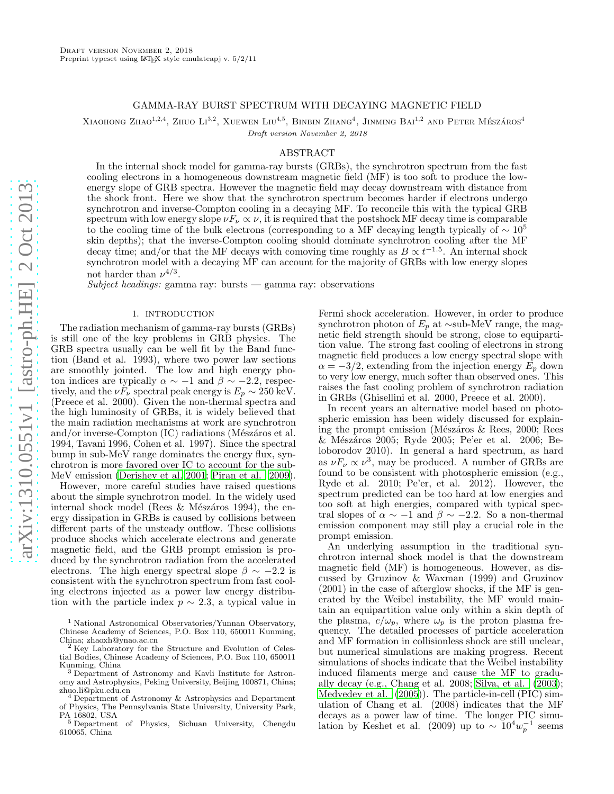# GAMMA-RAY BURST SPECTRUM WITH DECAYING MAGNETIC FIELD

XIAOHONG ZHAO<sup>1,2,4</sup>, ZHUO LI<sup>3,2</sup>, XUEWEN LIU<sup>4,5</sup>, BINBIN ZHANG<sup>4</sup>, JINMING BAI<sup>1,2</sup> AND PETER MÉSZÁROS<sup>4</sup>

Draft version November 2, 2018

## ABSTRACT

In the internal shock model for gamma-ray bursts (GRBs), the synchrotron spectrum from the fast cooling electrons in a homogeneous downstream magnetic field (MF) is too soft to produce the lowenergy slope of GRB spectra. However the magnetic field may decay downstream with distance from the shock front. Here we show that the synchrotron spectrum becomes harder if electrons undergo synchrotron and inverse-Compton cooling in a decaying MF. To reconcile this with the typical GRB spectrum with low energy slope  $\nu F_\nu \propto \nu$ , it is required that the postshock MF decay time is comparable to the cooling time of the bulk electrons (corresponding to a MF decaying length typically of  $\sim 10^5$ ) skin depths); that the inverse-Compton cooling should dominate synchrotron cooling after the MF decay time; and/or that the MF decays with comoving time roughly as  $B \propto t^{-1.5}$ . An internal shock synchrotron model with a decaying MF can account for the majority of GRBs with low energy slopes not harder than  $\nu^{4/3}$ .

Subject headings: gamma ray: bursts — gamma ray: observations

## 1. INTRODUCTION

The radiation mechanism of gamma-ray bursts (GRBs) is still one of the key problems in GRB physics. The GRB spectra usually can be well fit by the Band function (Band et al. 1993), where two power law sections are smoothly jointed. The low and high energy photon indices are typically  $\alpha \sim -1$  and  $\beta \sim -2.2$ , respectively, and the  $\nu F_{\nu}$  spectral peak energy is  $E_p \sim 250 \text{ keV}$ . (Preece et al. 2000). Given the non-thermal spectra and the high luminosity of GRBs, it is widely believed that the main radiation mechanisms at work are synchrotron and/or inverse-Compton (IC) radiations (Mészáros et al. 1994, Tavani 1996, Cohen et al. 1997). Since the spectral bump in sub-MeV range dominates the energy flux, synchrotron is more favored over IC to account for the sub-MeV emission [\(Derishev et al. 2001;](#page-4-0) [Piran et al. 2009\)](#page-5-0).

However, more careful studies have raised questions about the simple synchrotron model. In the widely used internal shock model (Rees & Mészáros 1994), the energy dissipation in GRBs is caused by collisions between different parts of the unsteady outflow. These collisions produce shocks which accelerate electrons and generate magnetic field, and the GRB prompt emission is produced by the synchrotron radiation from the accelerated electrons. The high energy spectral slope  $\beta \sim -2.2$  is consistent with the synchrotron spectrum from fast cooling electrons injected as a power law energy distribution with the particle index  $p \sim 2.3$ , a typical value in

<sup>1</sup> National Astronomical Observatories/Yunnan Observatory, Chinese Academy of Sciences, P.O. Box 110, 650011 Kunming, China; zhaoxh@ynao.ac.cn

Fermi shock acceleration. However, in order to produce synchrotron photon of  $E_p$  at ∼sub-MeV range, the magnetic field strength should be strong, close to equipartition value. The strong fast cooling of electrons in strong magnetic field produces a low energy spectral slope with  $\alpha = -3/2$ , extending from the injection energy  $E_n$  down to very low energy, much softer than observed ones. This raises the fast cooling problem of synchrotron radiation in GRBs (Ghisellini et al. 2000, Preece et al. 2000).

In recent years an alternative model based on photospheric emission has been widely discussed for explaining the prompt emission (Mészáros & Rees, 2000; Rees & M´esz´aros 2005; Ryde 2005; Pe'er et al. 2006; Beloborodov 2010). In general a hard spectrum, as hard as  $\nu F_{\nu} \propto \nu^3$ , may be produced. A number of GRBs are found to be consistent with photospheric emission (e.g., Ryde et al. 2010; Pe'er, et al. 2012). However, the spectrum predicted can be too hard at low energies and too soft at high energies, compared with typical spectral slopes of  $\alpha \sim -1$  and  $\beta \sim -2.2$ . So a non-thermal emission component may still play a crucial role in the prompt emission.

An underlying assumption in the traditional synchrotron internal shock model is that the downstream magnetic field (MF) is homogeneous. However, as discussed by Gruzinov & Waxman (1999) and Gruzinov (2001) in the case of afterglow shocks, if the MF is generated by the Weibel instability, the MF would maintain an equipartition value only within a skin depth of the plasma,  $c/\omega_p$ , where  $\omega_p$  is the proton plasma frequency. The detailed processes of particle acceleration and MF formation in collisionless shock are still unclear, but numerical simulations are making progress. Recent simulations of shocks indicate that the Weibel instability induced filaments merge and cause the MF to gradually decay (e.g., Chang et al. 2008; [Silva, et al. \(2003](#page-5-1)); [Medvedev et al. \(2005\)](#page-4-1)). The particle-in-cell (PIC) simulation of Chang et al. (2008) indicates that the MF decays as a power law of time. The longer PIC simulation by Keshet et al. (2009) up to  $\sim 10^4 w_p^{-1}$  seems

<sup>2</sup> Key Laboratory for the Structure and Evolution of Celestial Bodies, Chinese Academy of Sciences, P.O. Box 110, 650011 Kunming, China

<sup>3</sup> Department of Astronomy and Kavli Institute for Astronomy and Astrophysics, Peking University, Beijing 100871, China; zhuo.li@pku.edu.cn

<sup>4</sup> Department of Astronomy & Astrophysics and Department of Physics, The Pennsylvania State University, University Park,

PA 16802, USA <sup>5</sup> Department of Physics, Sichuan University, Chengdu 610065, China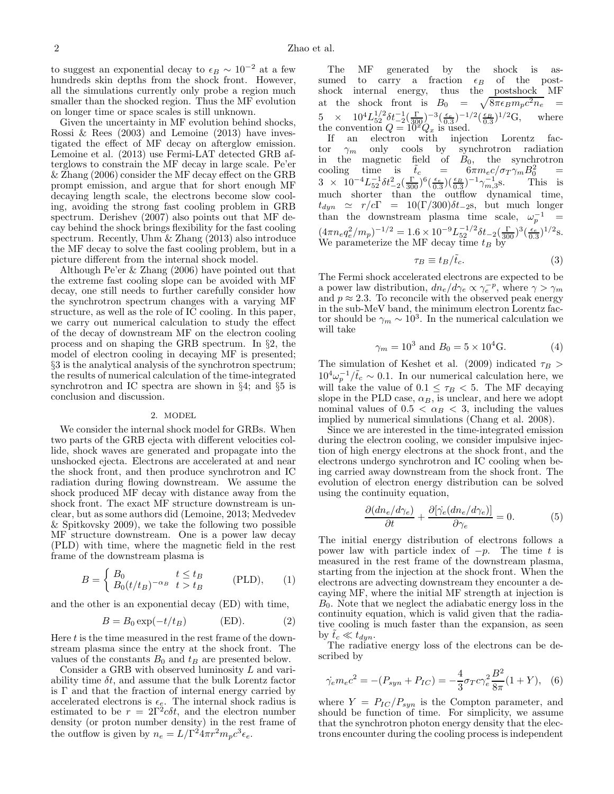to suggest an exponential decay to  $\epsilon_B \sim 10^{-2}$  at a few hundreds skin depths from the shock front. However, all the simulations currently only probe a region much smaller than the shocked region. Thus the MF evolution on longer time or space scales is still unknown.

Given the uncertainty in MF evolution behind shocks, Rossi  $\&$  Rees (2003) and Lemoine (2013) have investigated the effect of MF decay on afterglow emission. Lemoine et al. (2013) use Fermi-LAT detected GRB afterglows to constrain the MF decay in large scale. Pe'er & Zhang (2006) consider the MF decay effect on the GRB prompt emission, and argue that for short enough MF decaying length scale, the electrons become slow cooling, avoiding the strong fast cooling problem in GRB spectrum. Derishev (2007) also points out that MF decay behind the shock brings flexibility for the fast cooling spectrum. Recently, Uhm & Zhang (2013) also introduce the MF decay to solve the fast cooling problem, but in a picture different from the internal shock model.

Although Pe'er & Zhang (2006) have pointed out that the extreme fast cooling slope can be avoided with MF decay, one still needs to further carefully consider how the synchrotron spectrum changes with a varying MF structure, as well as the role of IC cooling. In this paper, we carry out numerical calculation to study the effect of the decay of downstream MF on the electron cooling process and on shaping the GRB spectrum. In §2, the model of electron cooling in decaying MF is presented; §3 is the analytical analysis of the synchrotron spectrum; the results of numerical calculation of the time-integrated synchrotron and IC spectra are shown in §4; and §5 is conclusion and discussion.

### 2. MODEL

We consider the internal shock model for GRBs. When two parts of the GRB ejecta with different velocities collide, shock waves are generated and propagate into the unshocked ejecta. Electrons are accelerated at and near the shock front, and then produce synchrotron and IC radiation during flowing downstream. We assume the shock produced MF decay with distance away from the shock front. The exact MF structure downstream is unclear, but as some authors did (Lemoine, 2013; Medvedev & Spitkovsky 2009), we take the following two possible MF structure downstream. One is a power law decay (PLD) with time, where the magnetic field in the rest frame of the downstream plasma is

$$
B = \begin{cases} B_0 & t \le t_B \\ B_0(t/t_B)^{-\alpha_B} & t > t_B \end{cases}
$$
 (PLD), (1)

and the other is an exponential decay (ED) with time,

$$
B = B_0 \exp(-t/t_B) \quad (\text{ED}). \tag{2}
$$

Here  $t$  is the time measured in the rest frame of the downstream plasma since the entry at the shock front. The values of the constants  $B_0$  and  $t_B$  are presented below.

Consider a GRB with observed luminosity L and variability time  $\delta t$ , and assume that the bulk Lorentz factor is  $\Gamma$  and that the fraction of internal energy carried by accelerated electrons is  $\epsilon_{\epsilon}$ . The internal shock radius is estimated to be  $r = 2\Gamma^2 c \delta t$ , and the electron number density (or proton number density) in the rest frame of the outflow is given by  $n_e = L/\Gamma^2 4\pi r^2 m_p c^3 \epsilon_e$ .

The MF generated by the shock is assumed to carry a fraction  $\epsilon_B$  of the post-<br>shock internal energy, thus the postshock MF shock internal energy, thus the postshock at the shock front is  $B_0 =$  $\sqrt{8\pi\epsilon_B m_p c^2 n_e}$  =  $5 \times 10^4 L_{52}^{1/2} \delta t_{-2}^{-1} (\frac{\Gamma}{300})^{-3} (\frac{\epsilon_e}{0.3})^{-1/2} (\frac{\epsilon_B}{0.3})^{1/2} \text{G}, \text{ where}$ the convention  $Q = 10^x Q_x$  is used.

If an electron with injection Lorentz factor  $\gamma_m$  only cools by synchrotron radiation in the magnetic field of  $B_0$ , the synchrotron cooling time is  $\tilde{t}_c = 6\pi m_e c / \sigma_T \gamma_m B_0^2 =$  $3 \times 10^{-4} L_{52}^{-1} \delta t_{-2}^2 \left(\frac{\Gamma}{300}\right)^6 \left(\frac{\epsilon}{0.3}\right) \left(\frac{\epsilon_B}{0.3}\right)^{-1} \gamma_{m,3}^{-1}$ s. This is much shorter than the outflow dynamical time,  $t_{dyn} \simeq r/c\Gamma = 10(\Gamma/300)\delta t_{-2}$ s, but much longer than the downstream plasma time scale,  $\omega_p^{-1}$  =  $(4\pi n_e q_e^2/m_p)^{-1/2} = 1.6 \times 10^{-9} L_{52}^{-1/2} \delta t_{-2} (\frac{\Gamma}{300})^3 (\frac{\epsilon_e}{0.3})^{1/2}$ s. We parameterize the MF decay time  $t_B$  by

$$
\tau_B \equiv t_B / \tilde{t}_c. \tag{3}
$$

The Fermi shock accelerated electrons are expected to be a power law distribution,  $dn_e/d\gamma_e \propto \gamma_e^{-p}$ , where  $\gamma > \gamma_m$ and  $p \approx 2.3$ . To reconcile with the observed peak energy in the sub-MeV band, the minimum electron Lorentz factor should be  $\gamma_m \sim 10^3$ . In the numerical calculation we will take

$$
\gamma_m = 10^3
$$
 and  $B_0 = 5 \times 10^4$ G. (4)

The simulation of Keshet et al. (2009) indicated  $\tau_B$  $10^4 \omega_p^{-1}/\tilde{t}_c \sim 0.1$ . In our numerical calculation here, we will take the value of  $0.1 \leq \tau_B < 5$ . The MF decaying slope in the PLD case,  $\alpha_B$ , is unclear, and here we adopt nominal values of  $0.5 < \alpha_B < 3$ , including the values implied by numerical simulations (Chang et al. 2008).

Since we are interested in the time-integrated emission during the electron cooling, we consider impulsive injection of high energy electrons at the shock front, and the electrons undergo synchrotron and IC cooling when being carried away downstream from the shock front. The evolution of electron energy distribution can be solved using the continuity equation,

$$
\frac{\partial (dn_e/d\gamma_e)}{\partial t} + \frac{\partial [\dot{\gamma}_e (dn_e/d\gamma_e)]}{\partial \gamma_e} = 0.
$$
 (5)

The initial energy distribution of electrons follows a power law with particle index of  $-p$ . The time t is measured in the rest frame of the downstream plasma, starting from the injection at the shock front. When the electrons are advecting downstream they encounter a decaying MF, where the initial MF strength at injection is  $B_0$ . Note that we neglect the adiabatic energy loss in the continuity equation, which is valid given that the radiative cooling is much faster than the expansion, as seen by  $t_c \ll t_{dyn}$ .

The radiative energy loss of the electrons can be described by

$$
\dot{\gamma}_e m_e c^2 = -(P_{syn} + P_{IC}) = -\frac{4}{3} \sigma_T c \gamma_e^2 \frac{B^2}{8\pi} (1+Y), \quad (6)
$$

where  $Y = P_{IC}/P_{syn}$  is the Compton parameter, and should be function of time. For simplicity, we assume that the synchrotron photon energy density that the electrons encounter during the cooling process is independent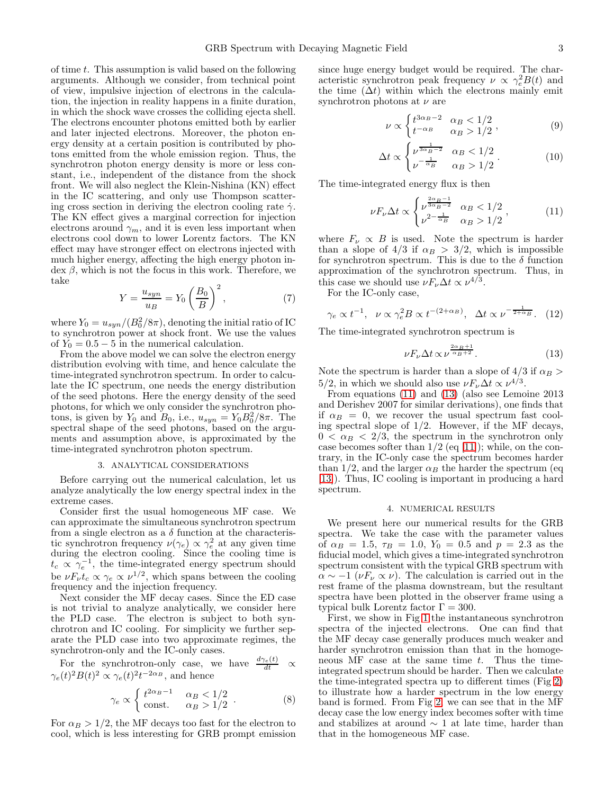of time t. This assumption is valid based on the following arguments. Although we consider, from technical point of view, impulsive injection of electrons in the calculation, the injection in reality happens in a finite duration, in which the shock wave crosses the colliding ejecta shell. The electrons encounter photons emitted both by earlier and later injected electrons. Moreover, the photon energy density at a certain position is contributed by photons emitted from the whole emission region. Thus, the synchrotron photon energy density is more or less constant, i.e., independent of the distance from the shock front. We will also neglect the Klein-Nishina (KN) effect in the IC scattering, and only use Thompson scattering cross section in deriving the electron cooling rate  $\dot{\gamma}$ . The KN effect gives a marginal correction for injection electrons around  $\gamma_m$ , and it is even less important when electrons cool down to lower Lorentz factors. The KN effect may have stronger effect on electrons injected with much higher energy, affecting the high energy photon in- $\text{dex }\beta$ , which is not the focus in this work. Therefore, we take

$$
Y = \frac{u_{syn}}{u_B} = Y_0 \left(\frac{B_0}{B}\right)^2,\tag{7}
$$

where  $Y_0 = u_{syn}/(B_0^2/8\pi)$ , denoting the initial ratio of IC to synchrotron power at shock front. We use the values of  $Y_0 = 0.5 - 5$  in the numerical calculation.

From the above model we can solve the electron energy distribution evolving with time, and hence calculate the time-integrated synchrotron spectrum. In order to calculate the IC spectrum, one needs the energy distribution of the seed photons. Here the energy density of the seed photons, for which we only consider the synchrotron photons, is given by  $Y_0$  and  $B_0$ , i.e.,  $u_{syn} = Y_0 B_0^2 / 8\pi$ . The spectral shape of the seed photons, based on the arguments and assumption above, is approximated by the time-integrated synchrotron photon spectrum.

### 3. ANALYTICAL CONSIDERATIONS

Before carrying out the numerical calculation, let us analyze analytically the low energy spectral index in the extreme cases.

Consider first the usual homogeneous MF case. We can approximate the simultaneous synchrotron spectrum from a single electron as a  $\delta$  function at the characteristic synchrotron frequency  $\nu(\gamma_e) \propto \gamma_e^2$  at any given time during the electron cooling. Since the cooling time is  $t_c \propto \gamma_e^{-1}$ , the time-integrated energy spectrum should be  $\nu F_{\nu} t_c \propto \gamma_e \propto \nu^{1/2}$ , which spans between the cooling frequency and the injection frequency.

Next consider the MF decay cases. Since the ED case is not trivial to analyze analytically, we consider here the PLD case. The electron is subject to both synchrotron and IC cooling. For simplicity we further separate the PLD case into two approximate regimes, the synchrotron-only and the IC-only cases.

For the synchrotron-only case, we have  $\frac{d\gamma_e(t)}{dt} \propto$  $\gamma_e(t)^2 B(t)^2 \propto \gamma_e(t)^2 t^{-2\alpha_B}$ , and hence

$$
\gamma_e \propto \begin{cases} t^{2\alpha_B - 1} & \alpha_B < 1/2 \\ \text{const.} & \alpha_B > 1/2 \end{cases} . \tag{8}
$$

For  $\alpha_B > 1/2$ , the MF decays too fast for the electron to cool, which is less interesting for GRB prompt emission

since huge energy budget would be required. The characteristic synchrotron peak frequency  $\nu \propto \gamma_e^2 B(t)$  and the time  $(\Delta t)$  within which the electrons mainly emit synchrotron photons at  $\nu$  are

$$
\nu \propto \begin{cases} t^{3\alpha_B - 2} & \alpha_B < 1/2 \\ t^{-\alpha_B} & \alpha_B > 1/2 \end{cases},
$$
 (9)

$$
\Delta t \propto \begin{cases} \nu^{\frac{1}{3\alpha_B - 2}} & \alpha_B < 1/2 \\ \nu^{-\frac{1}{\alpha_B}} & \alpha_B > 1/2 \end{cases} . \tag{10}
$$

The time-integrated energy flux is then

<span id="page-2-0"></span>
$$
\nu F_{\nu} \Delta t \propto \begin{cases} \nu^{\frac{2\alpha_B - 1}{3\alpha_B - 2}} & \alpha_B < 1/2 \\ \nu^{2 - \frac{1}{\alpha_B}} & \alpha_B > 1/2 \end{cases}, \tag{11}
$$

where  $F_{\nu} \propto B$  is used. Note the spectrum is harder than a slope of  $4/3$  if  $\alpha_B > 3/2$ , which is impossible for synchrotron spectrum. This is due to the  $\delta$  function approximation of the synchrotron spectrum. Thus, in this case we should use  $\nu F_{\nu}\Delta t \propto \nu^{4/3}$ .

For the IC-only case,

$$
\gamma_e \propto t^{-1}
$$
,  $\nu \propto \gamma_e^2 B \propto t^{-(2+\alpha_B)}$ ,  $\Delta t \propto \nu^{-\frac{1}{2+\alpha_B}}$ . (12)

The time-integrated synchrotron spectrum is

<span id="page-2-1"></span>
$$
\nu F_{\nu} \Delta t \propto \nu^{\frac{2\alpha_B + 1}{\alpha_B + 2}}.\tag{13}
$$

Note the spectrum is harder than a slope of  $4/3$  if  $\alpha_B >$ 5/2, in which we should also use  $\nu F_{\nu}\Delta t \propto \nu^{4/3}$ .

From equations [\(11\)](#page-2-0) and [\(13\)](#page-2-1) (also see Lemoine 2013 and Derishev 2007 for similar derivations), one finds that if  $\alpha_B = 0$ , we recover the usual spectrum fast cooling spectral slope of 1/2. However, if the MF decays,  $0 < \alpha_B < 2/3$ , the spectrum in the synchrotron only case becomes softer than  $1/2$  (eq [\[11\]](#page-2-0)); while, on the contrary, in the IC-only case the spectrum becomes harder than 1/2, and the larger  $\alpha_B$  the harder the spectrum (eq [\[13\]](#page-2-1)). Thus, IC cooling is important in producing a hard spectrum.

#### 4. NUMERICAL RESULTS

We present here our numerical results for the GRB spectra. We take the case with the parameter values of  $\alpha_B = 1.5$ ,  $\tau_B = 1.0$ ,  $Y_0 = 0.5$  and  $p = 2.3$  as the fiducial model, which gives a time-integrated synchrotron spectrum consistent with the typical GRB spectrum with  $\alpha \sim -1$  ( $\nu F_{\nu} \propto \nu$ ). The calculation is carried out in the rest frame of the plasma downstream, but the resultant spectra have been plotted in the observer frame using a typical bulk Lorentz factor  $\Gamma = 300$ .

First, we show in Fig [1](#page-4-2) the instantaneous synchrotron spectra of the injected electrons. One can find that the MF decay case generally produces much weaker and harder synchrotron emission than that in the homogeneous  $\overline{MF}$  case at the same time t. Thus the timeintegrated spectrum should be harder. Then we calculate the time-integrated spectra up to different times (Fig [2\)](#page-4-3) to illustrate how a harder spectrum in the low energy band is formed. From Fig [2,](#page-4-3) we can see that in the MF decay case the low energy index becomes softer with time and stabilizes at around  $\sim$  1 at late time, harder than that in the homogeneous MF case.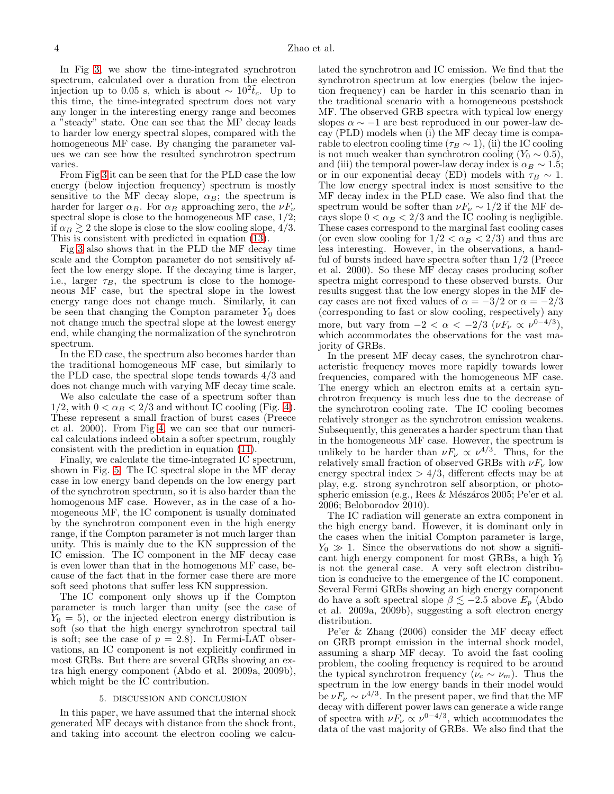In Fig [3,](#page-5-2) we show the time-integrated synchrotron spectrum, calculated over a duration from the electron injection up to 0.05 s, which is about ~  $10^2 \tilde{t}_c$ . Up to this time, the time-integrated spectrum does not vary any longer in the interesting energy range and becomes a "steady" state. One can see that the MF decay leads to harder low energy spectral slopes, compared with the homogeneous MF case. By changing the parameter values we can see how the resulted synchrotron spectrum varies.

From Fig [3](#page-5-2) it can be seen that for the PLD case the low energy (below injection frequency) spectrum is mostly sensitive to the MF decay slope,  $\alpha_B$ ; the spectrum is harder for larger  $\alpha_B$ . For  $\alpha_B$  approaching zero, the  $\nu F_{\nu}$ spectral slope is close to the homogeneous MF case,  $1/2$ ; if  $\alpha_B \gtrsim 2$  the slope is close to the slow cooling slope, 4/3. This is consistent with predicted in equation [\(13\)](#page-2-1).

Fig [3](#page-5-2) also shows that in the PLD the MF decay time scale and the Compton parameter do not sensitively affect the low energy slope. If the decaying time is larger, i.e., larger  $\tau_B$ , the spectrum is close to the homogeneous MF case, but the spectral slope in the lowest energy range does not change much. Similarly, it can be seen that changing the Compton parameter  $Y_0$  does not change much the spectral slope at the lowest energy end, while changing the normalization of the synchrotron spectrum.

In the ED case, the spectrum also becomes harder than the traditional homogeneous MF case, but similarly to the PLD case, the spectral slope tends towards 4/3 and does not change much with varying MF decay time scale.

We also calculate the case of a spectrum softer than  $1/2$ , with  $0 < \alpha_B < 2/3$  and without IC cooling (Fig. [4\)](#page-5-3). These represent a small fraction of burst cases (Preece et al. 2000). From Fig [4,](#page-5-3) we can see that our numerical calculations indeed obtain a softer spectrum, roughly consistent with the prediction in equation [\(11\)](#page-2-0).

Finally, we calculate the time-integrated IC spectrum, shown in Fig. [5.](#page-5-4) The IC spectral slope in the MF decay case in low energy band depends on the low energy part of the synchrotron spectrum, so it is also harder than the homogenous MF case. However, as in the case of a homogeneous MF, the IC component is usually dominated by the synchrotron component even in the high energy range, if the Compton parameter is not much larger than unity. This is mainly due to the KN suppression of the IC emission. The IC component in the MF decay case is even lower than that in the homogenous MF case, because of the fact that in the former case there are more soft seed photons that suffer less KN suppression.

The IC component only shows up if the Compton parameter is much larger than unity (see the case of  $Y_0 = 5$ , or the injected electron energy distribution is soft (so that the high energy synchrotron spectral tail is soft; see the case of  $p = 2.8$ ). In Fermi-LAT observations, an IC component is not explicitly confirmed in most GRBs. But there are several GRBs showing an extra high energy component (Abdo et al. 2009a, 2009b), which might be the IC contribution.

### 5. DISCUSSION AND CONCLUSION

In this paper, we have assumed that the internal shock generated MF decays with distance from the shock front, and taking into account the electron cooling we calculated the synchrotron and IC emission. We find that the synchrotron spectrum at low energies (below the injection frequency) can be harder in this scenario than in the traditional scenario with a homogeneous postshock MF. The observed GRB spectra with typical low energy slopes  $\alpha \sim -1$  are best reproduced in our power-law decay (PLD) models when (i) the MF decay time is comparable to electron cooling time ( $\tau_B \sim 1$ ), (ii) the IC cooling is not much weaker than synchrotron cooling  $(Y_0 \sim 0.5)$ , and (iii) the temporal power-law decay index is  $\alpha_B \sim 1.5$ ; or in our exponential decay (ED) models with  $\tau_B \sim 1$ . The low energy spectral index is most sensitive to the MF decay index in the PLD case. We also find that the spectrum would be softer than  $\nu F_{\nu} \sim 1/2$  if the MF decays slope  $0 < \alpha_B < 2/3$  and the IC cooling is negligible. These cases correspond to the marginal fast cooling cases (or even slow cooling for  $1/2 < \alpha_B < 2/3$ ) and thus are less interesting. However, in the observations, a handful of bursts indeed have spectra softer than 1/2 (Preece et al. 2000). So these MF decay cases producing softer spectra might correspond to these observed bursts. Our results suggest that the low energy slopes in the MF decay cases are not fixed values of  $\alpha = -3/2$  or  $\alpha = -2/3$ (corresponding to fast or slow cooling, respectively) any more, but vary from  $-2 < \alpha < -2/3$  ( $\nu F_{\nu} \propto \nu^{0-4/3}$ ), which accommodates the observations for the vast majority of GRBs.

In the present MF decay cases, the synchrotron characteristic frequency moves more rapidly towards lower frequencies, compared with the homogeneous MF case. The energy which an electron emits at a certain synchrotron frequency is much less due to the decrease of the synchrotron cooling rate. The IC cooling becomes relatively stronger as the synchrotron emission weakens. Subsequently, this generates a harder spectrum than that in the homogeneous MF case. However, the spectrum is unlikely to be harder than  $\nu F_{\nu} \propto \nu^{4/3}$ . Thus, for the relatively small fraction of observed GRBs with  $\nu F_{\nu}$  low energy spectral index  $> 4/3$ , different effects may be at play, e.g. strong synchrotron self absorption, or photospheric emission (e.g., Rees & Mészáros 2005; Pe'er et al. 2006; Beloborodov 2010).

The IC radiation will generate an extra component in the high energy band. However, it is dominant only in the cases when the initial Compton parameter is large,  $Y_0 \gg 1$ . Since the observations do not show a significant high energy component for most GRBs, a high  $Y_0$ is not the general case. A very soft electron distribution is conducive to the emergence of the IC component. Several Fermi GRBs showing an high energy component do have a soft spectral slope  $\beta \lesssim -2.5$  above  $E_p$  (Abdo et al. 2009a, 2009b), suggesting a soft electron energy distribution.

Pe'er & Zhang (2006) consider the MF decay effect on GRB prompt emission in the internal shock model, assuming a sharp MF decay. To avoid the fast cooling problem, the cooling frequency is required to be around the typical synchrotron frequency ( $\nu_c \sim \nu_m$ ). Thus the spectrum in the low energy bands in their model would be  $\nu F_{\nu} \sim \nu^{4/3}$ . In the present paper, we find that the MF decay with different power laws can generate a wide range of spectra with  $\nu F_{\nu} \propto \nu^{0-4/3}$ , which accommodates the data of the vast majority of GRBs. We also find that the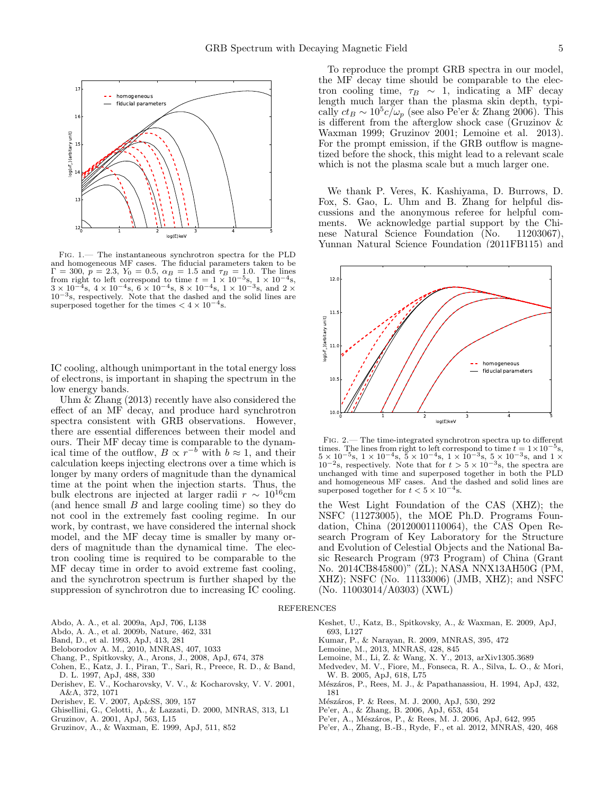

<span id="page-4-2"></span>Fig. 1.— The instantaneous synchrotron spectra for the PLD and homogeneous MF cases. The fiducial parameters taken to be  $Γ = 300, p = 2.3, Y_0 = 0.5, \alpha_B = 1.5 \text{ and } \tau_B = 1.0.$  The lines from right to left correspond to time  $t = 1 \times 10^{-5}$ s,  $1 \times 10^{-4}$ s,  $3 \times 10^{-4}$ s,  $4 \times 10^{-4}$ s,  $6 \times 10^{-4}$ s,  $8 \times 10^{-4}$ s,  $1 \times 10^{-3}$ s, and  $2 \times$  $10^{-3}$ s, respectively. Note that the dashed and the solid lines are superposed together for the times  $< 4 \times 10^{-4}$ s.

IC cooling, although unimportant in the total energy loss of electrons, is important in shaping the spectrum in the low energy bands.

Uhm & Zhang (2013) recently have also considered the effect of an MF decay, and produce hard synchrotron spectra consistent with GRB observations. However, there are essential differences between their model and ours. Their MF decay time is comparable to the dynamical time of the outflow,  $B \propto r^{-b}$  with  $b \approx 1$ , and their calculation keeps injecting electrons over a time which is longer by many orders of magnitude than the dynamical time at the point when the injection starts. Thus, the bulk electrons are injected at larger radii  $r \sim 10^{16}$ cm (and hence small B and large cooling time) so they do not cool in the extremely fast cooling regime. In our work, by contrast, we have considered the internal shock model, and the MF decay time is smaller by many orders of magnitude than the dynamical time. The electron cooling time is required to be comparable to the MF decay time in order to avoid extreme fast cooling, and the synchrotron spectrum is further shaped by the suppression of synchrotron due to increasing IC cooling.

To reproduce the prompt GRB spectra in our model, the MF decay time should be comparable to the electron cooling time,  $\tau_B \sim 1$ , indicating a MF decay length much larger than the plasma skin depth, typically  $ct_B \sim 10^5 c/\omega_p$  (see also Pe'er & Zhang 2006). This is different from the afterglow shock case (Gruzinov & Waxman 1999; Gruzinov 2001; Lemoine et al. 2013). For the prompt emission, if the GRB outflow is magnetized before the shock, this might lead to a relevant scale which is not the plasma scale but a much larger one.

We thank P. Veres, K. Kashiyama, D. Burrows, D. Fox, S. Gao, L. Uhm and B. Zhang for helpful discussions and the anonymous referee for helpful comments. We acknowledge partial support by the Chinese Natural Science Foundation (No. 11203067), Yunnan Natural Science Foundation (2011FB115) and



<span id="page-4-3"></span>Fig. 2.— The time-integrated synchrotron spectra up to different times. The lines from right to left correspond to time  $t = 1 \times 10^{-5}$ s,<br> $5 \times 10^{-5}$ s,  $1 \times 10^{-4}$ s,  $5 \times 10^{-4}$ s,  $1 \times 10^{-3}$ s,  $5 \times 10^{-3}$ s, and  $1 \times 10^{-2}$ s, respectively. Note that for  $t > 5 \times 10^{-3}$ s, the spectra are unchanged with time and superposed together in both the PLD and homogeneous MF cases. And the dashed and solid lines are superposed together for  $t < 5 \times 10^{-4}$  s.

the West Light Foundation of the CAS (XHZ); the NSFC (11273005), the MOE Ph.D. Programs Foundation, China (20120001110064), the CAS Open Research Program of Key Laboratory for the Structure and Evolution of Celestial Objects and the National Basic Research Program (973 Program) of China (Grant No. 2014CB845800)" (ZL); NASA NNX13AH50G (PM, XHZ); NSFC (No. 11133006) (JMB, XHZ); and NSFC (No. 11003014/A0303) (XWL)

#### REFERENCES

- Abdo, A. A., et al. 2009a, ApJ, 706, L138
- Abdo, A. A., et al. 2009b, Nature, 462, 331
- Band, D., et al. 1993, ApJ, 413, 281
- Beloborodov A. M., 2010, MNRAS, 407, 1033
- Chang, P., Spitkovsky, A., Arons, J., 2008, ApJ, 674, 378
- Cohen, E., Katz, J. I., Piran, T., Sari, R., Preece, R. D., & Band, D. L. 1997, ApJ, 488, 330
- <span id="page-4-0"></span>Derishev, E. V., Kocharovsky, V. V., & Kocharovsky, V. V. 2001, A&A, 372, 1071
- Derishev, E. V. 2007, Ap&SS, 309, 157
- Ghisellini, G., Celotti, A., & Lazzati, D. 2000, MNRAS, 313, L1
- Gruzinov, A. 2001, ApJ, 563, L15
- Gruzinov, A., & Waxman, E. 1999, ApJ, 511, 852
- Keshet, U., Katz, B., Spitkovsky, A., & Waxman, E. 2009, ApJ, 693, L127
- Kumar, P., & Narayan, R. 2009, MNRAS, 395, 472
- Lemoine, M., 2013, MNRAS, 428, 845
- Lemoine, M., Li, Z. & Wang, X. Y., 2013, arXiv1305.3689
- <span id="page-4-1"></span>Medvedev, M. V., Fiore, M., Fonseca, R. A., Silva, L. O., & Mori, W. B. 2005, ApJ, 618, L75
- Mészáros, P., Rees, M. J., & Papathanassiou, H. 1994, ApJ, 432, 181
- Mészáros, P. & Rees, M. J. 2000, ApJ, 530, 292
- Pe'er, A., & Zhang, B. 2006, ApJ, 653, 454
- Pe'er, A., Mészáros, P., & Rees, M. J. 2006, ApJ, 642, 995
- Pe'er, A., Zhang, B.-B., Ryde, F., et al. 2012, MNRAS, 420, 468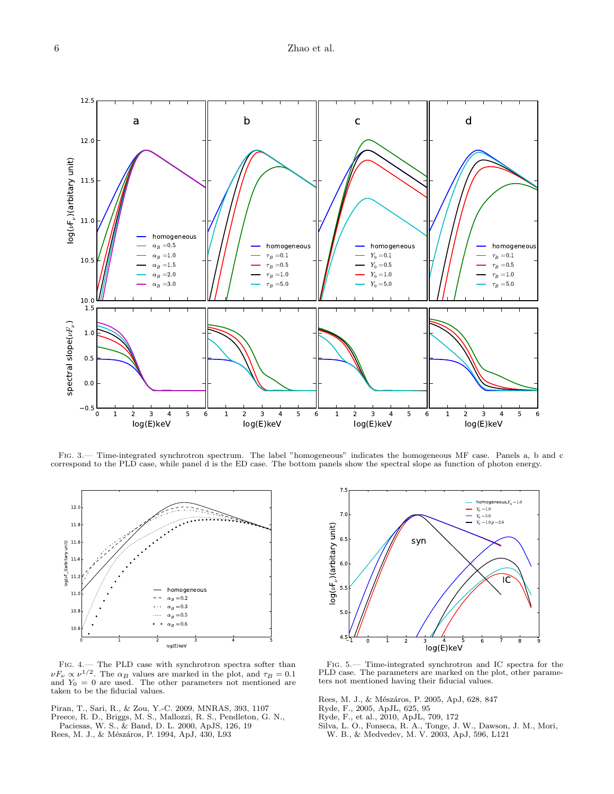

<span id="page-5-2"></span>Fig. 3.— Time-integrated synchrotron spectrum. The label "homogeneous" indicates the homogeneous MF case. Panels a, b and c correspond to the PLD case, while panel d is the ED case. The bottom panels show the spectral slope as function of photon energy.



<span id="page-5-3"></span>Fig. 4.— The PLD case with synchrotron spectra softer than  $\nu F_{\nu} \propto \nu^{1/2}$ . The  $\alpha_B$  values are marked in the plot, and  $\tau_B = 0.1$  and  $Y_0 = 0$  are used. The other parameters not mentioned are taken to be the fiducial values.

<span id="page-5-0"></span>Piran, T., Sari, R., & Zou, Y.-C. 2009, MNRAS, 393, 1107 Preece, R. D., Briggs, M. S., Mallozzi, R. S., Pendleton, G. N., Paciesas, W. S., & Band, D. L. 2000, ApJS, 126, 19 Rees, M. J., & Mészáros, P. 1994, ApJ, 430, L93



<span id="page-5-4"></span>Fig. 5.— Time-integrated synchrotron and IC spectra for the PLD case. The parameters are marked on the plot, other parameters not mentioned having their fiducial values.

Rees, M. J., & Mészáros, P. 2005, ApJ, 628, 847

- Ryde, F., 2005, ApJL, 625, 95
- Ryde, F., et al., 2010, ApJL, 709, 172
- <span id="page-5-1"></span>Silva, L. O., Fonseca, R. A., Tonge, J. W., Dawson, J. M., Mori, W. B., & Medvedev, M. V. 2003, ApJ, 596, L121